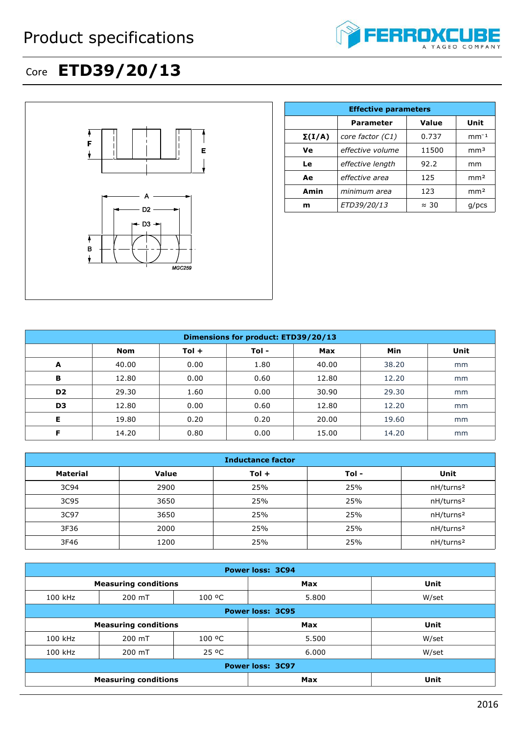## Product specifications



## Core **ETD39/20/13**



|               | <b>Effective parameters</b> |              |                 |  |  |  |
|---------------|-----------------------------|--------------|-----------------|--|--|--|
|               | <b>Parameter</b>            | Value        | Unit            |  |  |  |
| $\Sigma(I/A)$ | core factor (C1)            | 0.737        | $mm-1$          |  |  |  |
| Ve            | effective volume            | 11500        | mm <sup>3</sup> |  |  |  |
| Le            | effective length            | 92.2         | mm              |  |  |  |
| Ae            | effective area              | 125          | mm <sup>2</sup> |  |  |  |
| Amin          | minimum area                | 123          | mm <sup>2</sup> |  |  |  |
| m             | ETD39/20/13                 | $\approx 30$ | $q$ /pcs        |  |  |  |

| Dimensions for product: ETD39/20/13 |       |         |       |            |            |      |
|-------------------------------------|-------|---------|-------|------------|------------|------|
|                                     | Nom   | $Tol +$ | Tol - | <b>Max</b> | <b>Min</b> | Unit |
| A                                   | 40.00 | 0.00    | 1.80  | 40.00      | 38.20      | mm   |
| в                                   | 12.80 | 0.00    | 0.60  | 12.80      | 12.20      | mm   |
| D <sub>2</sub>                      | 29.30 | 1.60    | 0.00  | 30.90      | 29.30      | mm   |
| D <sub>3</sub>                      | 12.80 | 0.00    | 0.60  | 12.80      | 12.20      | mm   |
| Е                                   | 19.80 | 0.20    | 0.20  | 20.00      | 19.60      | mm   |
| Е                                   | 14.20 | 0.80    | 0.00  | 15.00      | 14.20      | mm   |

| <b>Inductance factor</b> |              |         |       |                       |  |
|--------------------------|--------------|---------|-------|-----------------------|--|
| <b>Material</b>          | <b>Value</b> | $Tol +$ | Tol - | Unit                  |  |
| 3C94                     | 2900         | 25%     | 25%   | nH/turns <sup>2</sup> |  |
| 3C95                     | 3650         | 25%     | 25%   | nH/turns <sup>2</sup> |  |
| 3C97                     | 3650         | 25%     | 25%   | nH/turns <sup>2</sup> |  |
| 3F36                     | 2000         | 25%     | 25%   | nH/turns <sup>2</sup> |  |
| 3F46                     | 1200         | 25%     | 25%   | nH/turns <sup>2</sup> |  |

| <b>Power loss: 3C94</b> |                             |        |            |       |  |
|-------------------------|-----------------------------|--------|------------|-------|--|
|                         | <b>Measuring conditions</b> |        | Max        | Unit  |  |
| 100 kHz                 | 200 mT                      | 100 °C | 5.800      | W/set |  |
| <b>Power loss: 3C95</b> |                             |        |            |       |  |
|                         | <b>Measuring conditions</b> |        | <b>Max</b> | Unit  |  |
| 100 kHz                 | 200 mT                      | 100 °C | 5.500      | W/set |  |
| 100 kHz                 | 200 mT                      | 25 °C  | 6.000      | W/set |  |
| <b>Power loss: 3C97</b> |                             |        |            |       |  |
|                         | <b>Measuring conditions</b> |        | <b>Max</b> | Unit  |  |